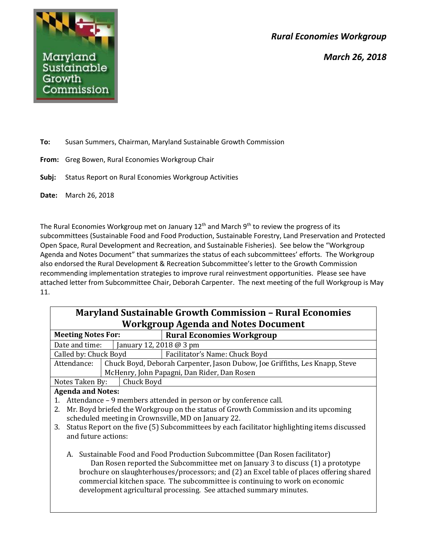*Rural Economies Workgroup*





**To:** Susan Summers, Chairman, Maryland Sustainable Growth Commission

- **From:** Greg Bowen, Rural Economies Workgroup Chair
- **Subj:** Status Report on Rural Economies Workgroup Activities
- **Date:** March 26, 2018

The Rural Economies Workgroup met on January  $12^{th}$  and March  $9^{th}$  to review the progress of its subcommittees (Sustainable Food and Food Production, Sustainable Forestry, Land Preservation and Protected Open Space, Rural Development and Recreation, and Sustainable Fisheries). See below the "Workgroup Agenda and Notes Document" that summarizes the status of each subcommittees' efforts. The Workgroup also endorsed the Rural Development & Recreation Subcommittee's letter to the Growth Commission recommending implementation strategies to improve rural reinvestment opportunities. Please see have attached letter from Subcommittee Chair, Deborah Carpenter. The next meeting of the full Workgroup is May 11.

| <b>Maryland Sustainable Growth Commission - Rural Economies</b>                                    |                                                                                    |  |  |
|----------------------------------------------------------------------------------------------------|------------------------------------------------------------------------------------|--|--|
| <b>Workgroup Agenda and Notes Document</b>                                                         |                                                                                    |  |  |
| <b>Meeting Notes For:</b>                                                                          | <b>Rural Economies Workgroup</b>                                                   |  |  |
| January 12, 2018 @ 3 pm<br>Date and time:                                                          |                                                                                    |  |  |
| Called by: Chuck Boyd                                                                              | Facilitator's Name: Chuck Boyd                                                     |  |  |
| Attendance:                                                                                        | Chuck Boyd, Deborah Carpenter, Jason Dubow, Joe Griffiths, Les Knapp, Steve        |  |  |
|                                                                                                    | McHenry, John Papagni, Dan Rider, Dan Rosen                                        |  |  |
| Chuck Boyd<br>Notes Taken By:                                                                      |                                                                                    |  |  |
| <b>Agenda and Notes:</b>                                                                           |                                                                                    |  |  |
| 1.                                                                                                 | Attendance – 9 members attended in person or by conference call.                   |  |  |
| 2.                                                                                                 | Mr. Boyd briefed the Workgroup on the status of Growth Commission and its upcoming |  |  |
| scheduled meeting in Crownsville, MD on January 22.                                                |                                                                                    |  |  |
| Status Report on the five (5) Subcommittees by each facilitator highlighting items discussed<br>3. |                                                                                    |  |  |
| and future actions:                                                                                |                                                                                    |  |  |
|                                                                                                    |                                                                                    |  |  |
| Sustainable Food and Food Production Subcommittee (Dan Rosen facilitator)<br>A.                    |                                                                                    |  |  |
| Dan Rosen reported the Subcommittee met on January 3 to discuss (1) a prototype                    |                                                                                    |  |  |
| brochure on slaughterhouses/processors; and (2) an Excel table of places offering shared           |                                                                                    |  |  |
| commercial kitchen space. The subcommittee is continuing to work on economic                       |                                                                                    |  |  |
| development agricultural processing. See attached summary minutes.                                 |                                                                                    |  |  |
|                                                                                                    |                                                                                    |  |  |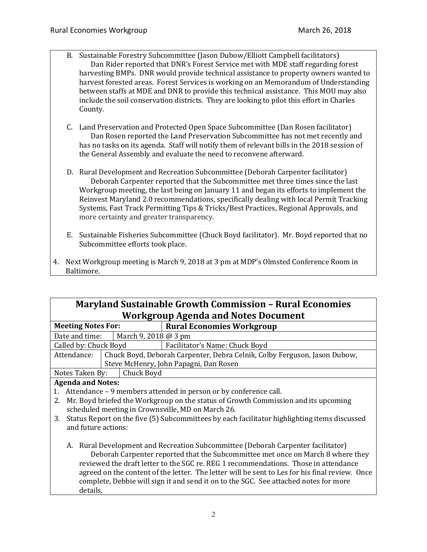- B. Sustainable Forestry Subcommittee (Jason Dubow/Elliott Campbell facilitators) Dan Rider reported that DNR's Forest Service met with MDE staff regarding forest harvesting BMPs. DNR would provide technical assistance to property owners wanted to harvest forested areas. Forest Services is working on an Memorandum of Understanding between staffs at MDE and DNR to provide this technical assistance. This MOU may also include the soil conservation districts. They are looking to pilot this effort in Charles County.
- C. Land Preservation and Protected Open Space Subcommittee (Dan Rosen facilitator) Dan Rosen reported the Land Preservation Subcommittee has not met recently and has no tasks on its agenda. Staff will notify them of relevant bills in the 2018 session of the General Assembly and evaluate the need to reconvene afterward.
- D. Rural Development and Recreation Subcommittee (Deborah Carpenter facilitator) Deborah Carpenter reported that the Subcommittee met three times since the last Workgroup meeting, the last being on January 11 and began its efforts to implement the Reinvest Maryland 2.0 recommendations, specifically dealing with local Permit Tracking Systems, Fast Track Permitting Tips & Tricks/Best Practices, Regional Approvals, and more certainty and greater transparency.
- E. Sustainable Fisheries Subcommittee (Chuck Boyd facilitator). Mr. Boyd reported that no Subcommittee efforts took place.
- 4. Next Workgroup meeting is March 9, 2018 at 3 pm at MDP's Olmsted Conference Room in Baltimore.

| <b>Maryland Sustainable Growth Commission - Rural Economies</b>                                    |            |                                                                                    |
|----------------------------------------------------------------------------------------------------|------------|------------------------------------------------------------------------------------|
| <b>Workgroup Agenda and Notes Document</b>                                                         |            |                                                                                    |
| <b>Meeting Notes For:</b>                                                                          |            | <b>Rural Economies Workgroup</b>                                                   |
| March 9, 2018 @ 3 pm<br>Date and time:                                                             |            |                                                                                    |
| Called by: Chuck Boyd                                                                              |            | Facilitator's Name: Chuck Boyd                                                     |
| Attendance:                                                                                        |            | Chuck Boyd, Deborah Carpenter, Debra Celnik, Colby Ferguson, Jason Dubow,          |
| Steve McHenry, John Papagni, Dan Rosen                                                             |            |                                                                                    |
| Notes Taken By:                                                                                    | Chuck Boyd |                                                                                    |
| <b>Agenda and Notes:</b>                                                                           |            |                                                                                    |
| Attendance - 9 members attended in person or by conference call.<br>1.                             |            |                                                                                    |
| 2.                                                                                                 |            | Mr. Boyd briefed the Workgroup on the status of Growth Commission and its upcoming |
|                                                                                                    |            | scheduled meeting in Crownsville, MD on March 26.                                  |
| Status Report on the five (5) Subcommittees by each facilitator highlighting items discussed<br>3. |            |                                                                                    |
| and future actions:                                                                                |            |                                                                                    |
|                                                                                                    |            |                                                                                    |
| A. Rural Development and Recreation Subcommittee (Deborah Carpenter facilitator)                   |            |                                                                                    |
| Deborah Carpenter reported that the Subcommittee met once on March 8 where they                    |            |                                                                                    |
| reviewed the draft letter to the SGC re. REG 1 recommendations. Those in attendance                |            |                                                                                    |
| equeed on the content of the letter. The letter will be sent to Lee for his final review. Once     |            |                                                                                    |

agreed on the content of the letter. The letter will be sent to Les for his final review. Once complete, Debbie will sign it and send it on to the SGC. See attached notes for more details.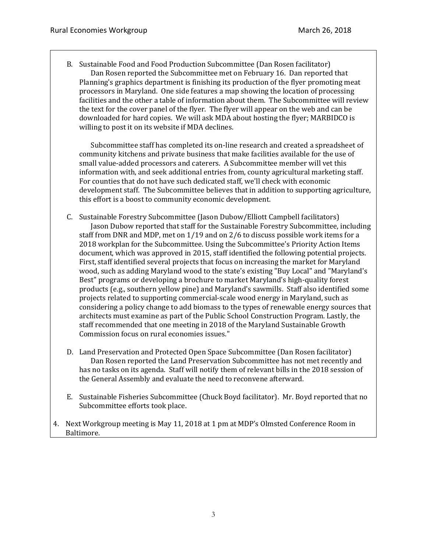B. Sustainable Food and Food Production Subcommittee (Dan Rosen facilitator) Dan Rosen reported the Subcommittee met on February 16. Dan reported that Planning's graphics department is finishing its production of the flyer promoting meat processors in Maryland. One side features a map showing the location of processing facilities and the other a table of information about them. The Subcommittee will review the text for the cover panel of the flyer. The flyer will appear on the web and can be downloaded for hard copies. We will ask MDA about hosting the flyer; MARBIDCO is willing to post it on its website if MDA declines.

Subcommittee staff has completed its on-line research and created a spreadsheet of community kitchens and private business that make facilities available for the use of small value-added processors and caterers. A Subcommittee member will vet this information with, and seek additional entries from, county agricultural marketing staff. For counties that do not have such dedicated staff, we'll check with economic development staff. The Subcommittee believes that in addition to supporting agriculture, this effort is a boost to community economic development.

- C. Sustainable Forestry Subcommittee (Jason Dubow/Elliott Campbell facilitators) Jason Dubow reported that staff for the Sustainable Forestry Subcommittee, including staff from DNR and MDP, met on 1/19 and on 2/6 to discuss possible work items for a 2018 workplan for the Subcommittee. Using the Subcommittee's Priority Action Items document, which was approved in 2015, staff identified the following potential projects. First, staff identified several projects that focus on increasing the market for Maryland wood, such as adding Maryland wood to the state's existing "Buy Local" and "Maryland's Best" programs or developing a brochure to market Maryland's high-quality forest products (e.g., southern yellow pine) and Maryland's sawmills. Staff also identified some projects related to supporting commercial-scale wood energy in Maryland, such as considering a policy change to add biomass to the types of renewable energy sources that architects must examine as part of the Public School Construction Program. Lastly, the staff recommended that one meeting in 2018 of the Maryland Sustainable Growth Commission focus on rural economies issues."
- D. Land Preservation and Protected Open Space Subcommittee (Dan Rosen facilitator) Dan Rosen reported the Land Preservation Subcommittee has not met recently and has no tasks on its agenda. Staff will notify them of relevant bills in the 2018 session of the General Assembly and evaluate the need to reconvene afterward.
- E. Sustainable Fisheries Subcommittee (Chuck Boyd facilitator). Mr. Boyd reported that no Subcommittee efforts took place.
- 4. Next Workgroup meeting is May 11, 2018 at 1 pm at MDP's Olmsted Conference Room in Baltimore.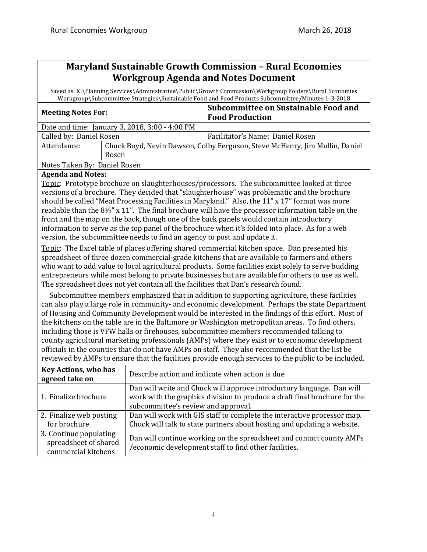### **Maryland Sustainable Growth Commission – Rural Economies Workgroup Agenda and Notes Document**

Saved as: K:\Planning Services\Administrative\Public\Growth Commission\Workgroup Folders\Rural Economies Workgroup\Subcommittee Strategies\Sustainable Food and Food Products Subcommittee/Minutes 1-3-2018

| <b>Meeting Notes For:</b>                      |                                                                             | Subcommittee on Sustainable Food and<br><b>Food Production</b> |
|------------------------------------------------|-----------------------------------------------------------------------------|----------------------------------------------------------------|
| Date and time: January 3, 2018, 3:00 - 4:00 PM |                                                                             |                                                                |
| Called by: Daniel Rosen                        |                                                                             | Facilitator's Name: Daniel Rosen                               |
| Attendance:                                    | Chuck Boyd, Nevin Dawson, Colby Ferguson, Steve McHenry, Jim Mullin, Daniel |                                                                |
|                                                | Rosen                                                                       |                                                                |
| Notes Taken By: Daniel Rosen                   |                                                                             |                                                                |
|                                                |                                                                             |                                                                |

### **Agenda and Notes:**

Topic: Prototype brochure on slaughterhouses/processors. The subcommittee looked at three versions of a brochure. They decided that "slaughterhouse" was problematic and the brochure should be called "Meat Processing Facilities in Maryland." Also, the 11" x 17" format was more readable than the 8½" x 11". The final brochure will have the processor information table on the front and the map on the back, though one of the back panels would contain introductory information to serve as the top panel of the brochure when it's folded into place. As for a web version, the subcommittee needs to find an agency to post and update it.

Topic: The Excel table of places offering shared commercial kitchen space. Dan presented his spreadsheet of three dozen commercial-grade kitchens that are available to farmers and others who want to add value to local agricultural products. Some facilities exist solely to serve budding entrepreneurs while most belong to private businesses but are available for others to use as well. The spreadsheet does not yet contain all the facilities that Dan's research found.

 Subcommittee members emphasized that in addition to supporting agriculture, these facilities can also play a large role in community- and economic development. Perhaps the state Department of Housing and Community Development would be interested in the findings of this effort. Most of the kitchens on the table are in the Baltimore or Washington metropolitan areas. To find others, including those is VFW halls or firehouses, subcommittee members recommended talking to county agricultural marketing professionals (AMPs) where they exist or to economic development officials in the counties that do not have AMPs on staff. They also recommended that the list be reviewed by AMPs to ensure that the facilities provide enough services to the public to be included.

| <b>Key Actions, who has</b><br>agreed take on                          | Describe action and indicate when action is due                                                                                                                                           |
|------------------------------------------------------------------------|-------------------------------------------------------------------------------------------------------------------------------------------------------------------------------------------|
| 1. Finalize brochure                                                   | Dan will write and Chuck will approve introductory language. Dan will<br>work with the graphics division to produce a draft final brochure for the<br>subcommittee's review and approval. |
| 2. Finalize web posting<br>for brochure                                | Dan will work with GIS staff to complete the interactive processor map.<br>Chuck will talk to state partners about hosting and updating a website.                                        |
| 3. Continue populating<br>spreadsheet of shared<br>commercial kitchens | Dan will continue working on the spreadsheet and contact county AMPs<br>/economic development staff to find other facilities.                                                             |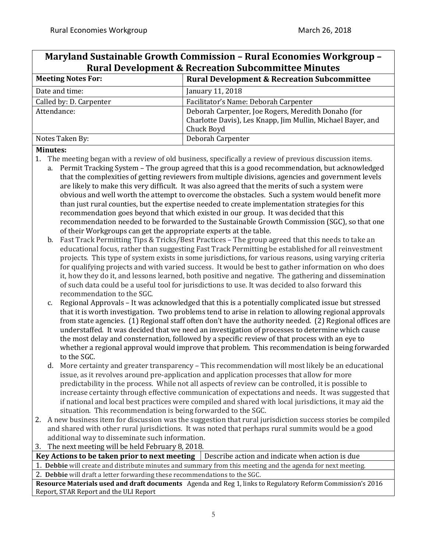## **Maryland Sustainable Growth Commission – Rural Economies Workgroup – Rural Development & Recreation Subcommittee Minutes**

| <b>Meeting Notes For:</b> | <b>Rural Development &amp; Recreation Subcommittee</b>                                                                           |  |
|---------------------------|----------------------------------------------------------------------------------------------------------------------------------|--|
| Date and time:            | January 11, 2018                                                                                                                 |  |
| Called by: D. Carpenter   | Facilitator's Name: Deborah Carpenter                                                                                            |  |
| Attendance:               | Deborah Carpenter, Joe Rogers, Meredith Donaho (for<br>Charlotte Davis), Les Knapp, Jim Mullin, Michael Bayer, and<br>Chuck Boyd |  |
| Notes Taken By:           | Deborah Carpenter                                                                                                                |  |

### **Minutes:**

- 1. The meeting began with a review of old business, specifically a review of previous discussion items.
	- a. Permit Tracking System The group agreed that this is a good recommendation, but acknowledged that the complexities of getting reviewers from multiple divisions, agencies and government levels are likely to make this very difficult. It was also agreed that the merits of such a system were obvious and well worth the attempt to overcome the obstacles. Such a system would benefit more than just rural counties, but the expertise needed to create implementation strategies for this recommendation goes beyond that which existed in our group. It was decided that this recommendation needed to be forwarded to the Sustainable Growth Commission (SGC), so that one of their Workgroups can get the appropriate experts at the table.
		- b. Fast Track Permitting Tips & Tricks/Best Practices The group agreed that this needs to take an educational focus, rather than suggesting Fast Track Permitting be established for all reinvestment projects. This type of system exists in some jurisdictions, for various reasons, using varying criteria for qualifying projects and with varied success. It would be best to gather information on who does it, how they do it, and lessons learned, both positive and negative. The gathering and dissemination of such data could be a useful tool for jurisdictions to use. It was decided to also forward this recommendation to the SGC.
		- c. Regional Approvals It was acknowledged that this is a potentially complicated issue but stressed that it is worth investigation. Two problems tend to arise in relation to allowing regional approvals from state agencies. (1) Regional staff often don't have the authority needed. (2) Regional offices are understaffed. It was decided that we need an investigation of processes to determine which cause the most delay and consternation, followed by a specific review of that process with an eye to whether a regional approval would improve that problem. This recommendation is being forwarded to the SGC.
		- d. More certainty and greater transparency This recommendation will most likely be an educational issue, as it revolves around pre-application and application processes that allow for more predictability in the process. While not all aspects of review can be controlled, it is possible to increase certainty through effective communication of expectations and needs. It was suggested that if national and local best practices were compiled and shared with local jurisdictions, it may aid the situation. This recommendation is being forwarded to the SGC.
- 2. A new business item for discussion was the suggestion that rural jurisdiction success stories be compiled and shared with other rural jurisdictions. It was noted that perhaps rural summits would be a good additional way to disseminate such information.
- 3. The next meeting will be held February 8, 2018.

**Key Actions to be taken prior to next meeting** Describe action and indicate when action is due

1. **Debbie** will create and distribute minutes and summary from this meeting and the agenda for next meeting.

2. **Debbie** will draft a letter forwarding these recommendations to the SGC.

**Resource Materials used and draft documents** Agenda and Reg 1, links to Regulatory Reform Commission's 2016 Report, STAR Report and the ULI Report